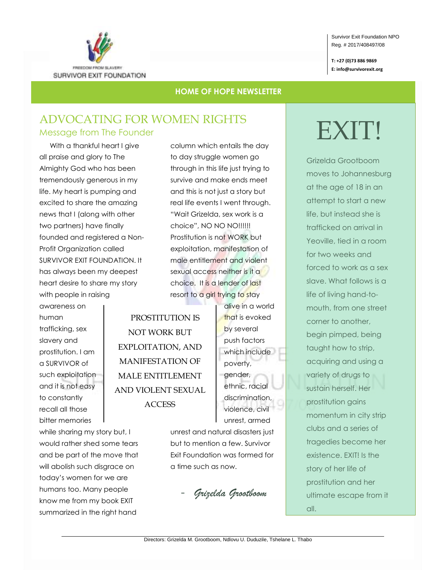

#### Survivor Exit Foundation NPO Reg. # 2017/408497/08

**T: +27 (0)73 886 9869 E: info@survivorexit.org**

### **HOME OF HOPE NEWSLETTER**

## ADVOCATING FOR WOMEN RIGHTS Message from The Founder

With a thankful heart I give all praise and glory to The Almighty God who has been tremendously generous in my life. My heart is pumping and excited to share the amazing news that I (along with other two partners) have finally founded and registered a Non-Profit Organization called SURVIVOR EXIT FOUNDATION. It has always been my deepest heart desire to share my story with people in raising

awareness on human trafficking, sex slavery and prostitution. I am a SURVIVOR of such exploitation and it is not easy to constantly recall all those bitter memories

while sharing my story but, I would rather shed some tears and be part of the move that will abolish such disgrace on today's women for we are humans too. Many people know me from my book EXIT summarized in the right hand

column which entails the day to day struggle women go through in this life just trying to survive and make ends meet and this is not just a story but real life events I went through. "Wait Grizelda, sex work is a choice", NO NO NO!!!!!! Prostitution is not WORK but exploitation, manifestation of male entitlement and violent sexual access neither is it a choice. It is a lender of last resort to a girl trying to stay

PROSTITUTION IS NOT WORK BUT EXPLOITATION, AND MANIFESTATION OF MALE ENTITLEMENT AND VIOLENT SEXUAL **ACCESS** 

alive in a world that is evoked by several push factors which include poverty, gender, ethnic, racial discrimination, violence, civil unrest, armed

unrest and natural disasters just but to mention a few. Survivor Exit Foundation was formed for a time such as now.

- *Grizelda Grootboom*

# EXIT!

Grizelda Grootboom moves to Johannesburg at the age of 18 in an attempt to start a new life, but instead she is trafficked on arrival in Yeoville, tied in a room for two weeks and forced to work as a sex slave. What follows is a life of living hand-tomouth, from one street corner to another, begin pimped, being taught how to strip, acquiring and using a variety of drugs to sustain herself. Her prostitution gains momentum in city strip clubs and a series of tragedies become her existence. EXIT! Is the story of her life of prostitution and her ultimate escape from it all.

Directors: Grizelda M. Grootboom, Ndlovu U. Duduzile, Tshelane L. Thabo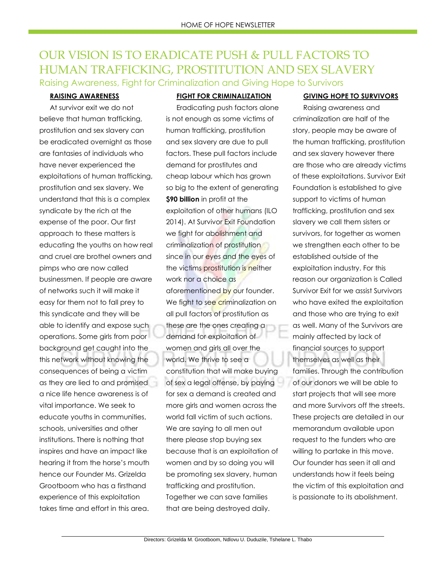## OUR VISION IS TO ERADICATE PUSH & PULL FACTORS TO HUMAN TRAFFICKING, PROSTITUTION AND SEX SLAVERY Raising Awareness, Fight for Criminalization and Giving Hope to Survivors

#### **RAISING AWARENESS**

At survivor exit we do not believe that human trafficking, prostitution and sex slavery can be eradicated overnight as those are fantasies of individuals who have never experienced the exploitations of human trafficking, prostitution and sex slavery. We understand that this is a complex syndicate by the rich at the expense of the poor. Our first approach to these matters is educating the youths on how real and cruel are brothel owners and pimps who are now called businessmen. If people are aware of networks such it will make it easy for them not to fall prey to this syndicate and they will be able to identify and expose such operations. Some girls from poor background get caught into the this network without knowing the consequences of being a victim as they are lied to and promised a nice life hence awareness is of vital importance. We seek to educate youths in communities, schools, universities and other institutions. There is nothing that inspires and have an impact like hearing it from the horse's mouth hence our Founder Ms. Grizelda Grootboom who has a firsthand experience of this exploitation takes time and effort in this area.

#### **FIGHT FOR CRIMINALIZATION**

Eradicating push factors alone is not enough as some victims of human trafficking, prostitution and sex slavery are due to pull factors. These pull factors include demand for prostitutes and cheap labour which has grown so big to the extent of generating **\$90 billion** in profit at the exploitation of other humans (ILO 2014). At Survivor Exit Foundation we fight for abolishment and criminalization of prostitution since in our eyes and the eyes of the victims prostitution is neither work nor a choice as aforementioned by our founder. We fight to see criminalization on all pull factors of prostitution as these are the ones creating a demand for exploitation of women and girls all over the world. We thrive to see a constitution that will make buying of sex a legal offense, by paying for sex a demand is created and more girls and women across the world fall victim of such actions. We are saying to all men out there please stop buying sex because that is an exploitation of women and by so doing you will be promoting sex slavery, human trafficking and prostitution. Together we can save families that are being destroyed daily.

#### **GIVING HOPE TO SURVIVORS**

Raising awareness and criminalization are half of the story, people may be aware of the human trafficking, prostitution and sex slavery however there are those who are already victims of these exploitations. Survivor Exit Foundation is established to give support to victims of human trafficking, prostitution and sex slavery we call them sisters or survivors, for together as women we strengthen each other to be established outside of the exploitation industry. For this reason our organization is Called Survivor Exit for we assist Survivors who have exited the exploitation and those who are trying to exit as well. Many of the Survivors are mainly affected by lack of financial sources to support themselves as well as their families. Through the contribution of our donors we will be able to start projects that will see more and more Survivors off the streets. These projects are detailed in our memorandum available upon request to the funders who are willing to partake in this move. Our founder has seen it all and understands how it feels being the victim of this exploitation and is passionate to its abolishment.